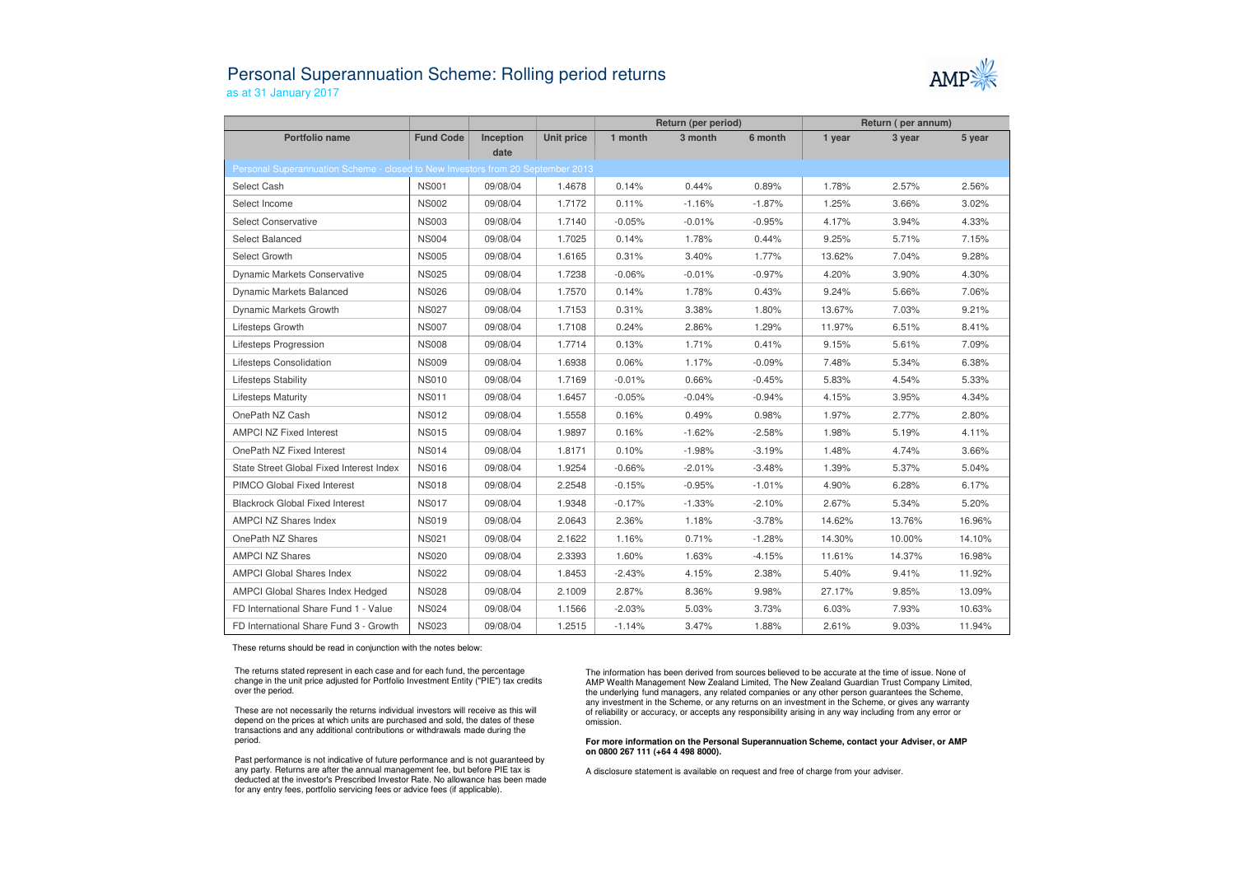## Personal Superannuation Scheme: Rolling period returnsas at 31 January 2017



|                                                                                         |                  |           |            | Return (per period) |          |          | Return (per annum) |        |        |  |  |  |  |
|-----------------------------------------------------------------------------------------|------------------|-----------|------------|---------------------|----------|----------|--------------------|--------|--------|--|--|--|--|
| Portfolio name                                                                          | <b>Fund Code</b> | Inception | Unit price | 1 month             | 3 month  | 6 month  | 1 year             | 3 year | 5 year |  |  |  |  |
| date<br>Personal Superannuation Scheme - closed to New Investors from 20 September 2013 |                  |           |            |                     |          |          |                    |        |        |  |  |  |  |
|                                                                                         |                  |           |            |                     |          |          |                    |        |        |  |  |  |  |
| Select Cash                                                                             | <b>NS001</b>     | 09/08/04  | 1.4678     | 0.14%               | 0.44%    | 0.89%    | 1.78%              | 2.57%  | 2.56%  |  |  |  |  |
| Select Income                                                                           | <b>NS002</b>     | 09/08/04  | 1.7172     | 0.11%               | $-1.16%$ | $-1.87%$ | 1.25%              | 3.66%  | 3.02%  |  |  |  |  |
| <b>Select Conservative</b>                                                              | <b>NS003</b>     | 09/08/04  | 1.7140     | $-0.05%$            | $-0.01%$ | $-0.95%$ | 4.17%              | 3.94%  | 4.33%  |  |  |  |  |
| Select Balanced                                                                         | <b>NS004</b>     | 09/08/04  | 1.7025     | 0.14%               | 1.78%    | 0.44%    | 9.25%              | 5.71%  | 7.15%  |  |  |  |  |
| Select Growth                                                                           | <b>NS005</b>     | 09/08/04  | 1.6165     | 0.31%               | 3.40%    | 1.77%    | 13.62%             | 7.04%  | 9.28%  |  |  |  |  |
| <b>Dynamic Markets Conservative</b>                                                     | <b>NS025</b>     | 09/08/04  | 1.7238     | $-0.06%$            | $-0.01%$ | $-0.97%$ | 4.20%              | 3.90%  | 4.30%  |  |  |  |  |
| <b>Dynamic Markets Balanced</b>                                                         | <b>NS026</b>     | 09/08/04  | 1.7570     | 0.14%               | 1.78%    | 0.43%    | 9.24%              | 5.66%  | 7.06%  |  |  |  |  |
| Dynamic Markets Growth                                                                  | <b>NS027</b>     | 09/08/04  | 1.7153     | 0.31%               | 3.38%    | 1.80%    | 13.67%             | 7.03%  | 9.21%  |  |  |  |  |
| Lifesteps Growth                                                                        | <b>NS007</b>     | 09/08/04  | 1.7108     | 0.24%               | 2.86%    | 1.29%    | 11.97%             | 6.51%  | 8.41%  |  |  |  |  |
| Lifesteps Progression                                                                   | <b>NS008</b>     | 09/08/04  | 1.7714     | 0.13%               | 1.71%    | 0.41%    | 9.15%              | 5.61%  | 7.09%  |  |  |  |  |
| Lifesteps Consolidation                                                                 | <b>NS009</b>     | 09/08/04  | 1.6938     | 0.06%               | 1.17%    | $-0.09%$ | 7.48%              | 5.34%  | 6.38%  |  |  |  |  |
| Lifesteps Stability                                                                     | <b>NS010</b>     | 09/08/04  | 1.7169     | $-0.01%$            | 0.66%    | $-0.45%$ | 5.83%              | 4.54%  | 5.33%  |  |  |  |  |
| <b>Lifesteps Maturity</b>                                                               | <b>NS011</b>     | 09/08/04  | 1.6457     | $-0.05%$            | $-0.04%$ | $-0.94%$ | 4.15%              | 3.95%  | 4.34%  |  |  |  |  |
| OnePath NZ Cash                                                                         | <b>NS012</b>     | 09/08/04  | 1.5558     | 0.16%               | 0.49%    | 0.98%    | 1.97%              | 2.77%  | 2.80%  |  |  |  |  |
| <b>AMPCI NZ Fixed Interest</b>                                                          | <b>NS015</b>     | 09/08/04  | 1.9897     | 0.16%               | $-1.62%$ | $-2.58%$ | 1.98%              | 5.19%  | 4.11%  |  |  |  |  |
| OnePath NZ Fixed Interest                                                               | <b>NS014</b>     | 09/08/04  | 1.8171     | 0.10%               | $-1.98%$ | $-3.19%$ | 1.48%              | 4.74%  | 3.66%  |  |  |  |  |
| State Street Global Fixed Interest Index                                                | <b>NS016</b>     | 09/08/04  | 1.9254     | $-0.66%$            | $-2.01%$ | $-3.48%$ | 1.39%              | 5.37%  | 5.04%  |  |  |  |  |
| PIMCO Global Fixed Interest                                                             | <b>NS018</b>     | 09/08/04  | 2.2548     | $-0.15%$            | $-0.95%$ | $-1.01%$ | 4.90%              | 6.28%  | 6.17%  |  |  |  |  |
| <b>Blackrock Global Fixed Interest</b>                                                  | <b>NS017</b>     | 09/08/04  | 1.9348     | $-0.17%$            | $-1.33%$ | $-2.10%$ | 2.67%              | 5.34%  | 5.20%  |  |  |  |  |
| <b>AMPCI NZ Shares Index</b>                                                            | <b>NS019</b>     | 09/08/04  | 2.0643     | 2.36%               | 1.18%    | $-3.78%$ | 14.62%             | 13.76% | 16.96% |  |  |  |  |
| OnePath NZ Shares                                                                       | <b>NS021</b>     | 09/08/04  | 2.1622     | 1.16%               | 0.71%    | $-1.28%$ | 14.30%             | 10.00% | 14.10% |  |  |  |  |
| <b>AMPCI NZ Shares</b>                                                                  | <b>NS020</b>     | 09/08/04  | 2.3393     | 1.60%               | 1.63%    | $-4.15%$ | 11.61%             | 14.37% | 16.98% |  |  |  |  |
| <b>AMPCI Global Shares Index</b>                                                        | <b>NS022</b>     | 09/08/04  | 1.8453     | $-2.43%$            | 4.15%    | 2.38%    | 5.40%              | 9.41%  | 11.92% |  |  |  |  |
| AMPCI Global Shares Index Hedged                                                        | <b>NS028</b>     | 09/08/04  | 2.1009     | 2.87%               | 8.36%    | 9.98%    | 27.17%             | 9.85%  | 13.09% |  |  |  |  |
| FD International Share Fund 1 - Value                                                   | <b>NS024</b>     | 09/08/04  | 1.1566     | $-2.03%$            | 5.03%    | 3.73%    | 6.03%              | 7.93%  | 10.63% |  |  |  |  |
| FD International Share Fund 3 - Growth                                                  | <b>NS023</b>     | 09/08/04  | 1.2515     | $-1.14%$            | 3.47%    | 1.88%    | 2.61%              | 9.03%  | 11.94% |  |  |  |  |

These returns should be read in conjunction with the notes below:

The returns stated represent in each case and for each fund, the percentage change in the unit price adjusted for Portfolio Investment Entity ("PIE") tax credits over the period.

These are not necessarily the returns individual investors will receive as this will depend on the prices at which units are purchased and sold, the dates of these transactions and any additional contributions or withdrawals made during the period.

Past performance is not indicative of future performance and is not guaranteed by any party. Returns are after the annual management fee, but before PIE tax is deducted at the investor's Prescribed Investor Rate. No allowance has been made for any entry fees, portfolio servicing fees or advice fees (if applicable).

The information has been derived from sources believed to be accurate at the time of issue. None of AMP Wealth Management New Zealand Limited, The New Zealand Guardian Trust Company Limited, the underlying fund managers, any related companies or any other person guarantees the Scheme, any investment in the Scheme, or any returns on an investment in the Scheme, or gives any warranty of reliability or accuracy, or accepts any responsibility arising in any way including from any error or omission.

**For more information on the Personal Superannuation Scheme, contact your Adviser, or AMP on 0800 267 111 (+64 4 498 8000).**

A disclosure statement is available on request and free of charge from your adviser.